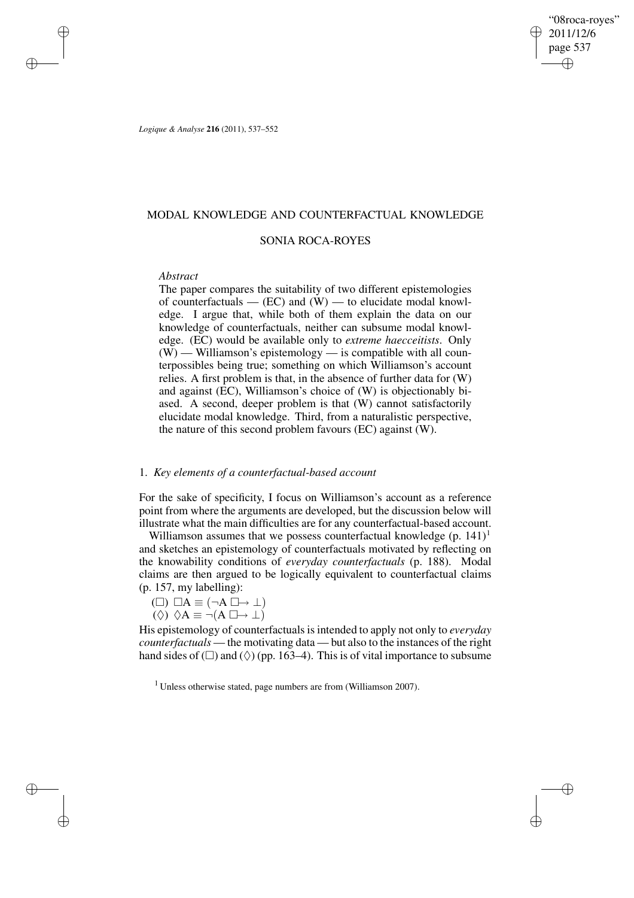"08roca-royes" 2011/12/6 page 537 ✐ ✐

✐

✐

*Logique & Analyse* **216** (2011), 537–552

## MODAL KNOWLEDGE AND COUNTERFACTUAL KNOWLEDGE

## SONIA ROCA-ROYES

### *Abstract*

✐

✐

✐

✐

The paper compares the suitability of two different epistemologies of counterfactuals  $-$  (EC) and (W)  $-$  to elucidate modal knowledge. I argue that, while both of them explain the data on our knowledge of counterfactuals, neither can subsume modal knowledge. (EC) would be available only to *extreme haecceitists*. Only  $(W)$  — Williamson's epistemology — is compatible with all counterpossibles being true; something on which Williamson's account relies. A first problem is that, in the absence of further data for (W) and against (EC), Williamson's choice of (W) is objectionably biased. A second, deeper problem is that (W) cannot satisfactorily elucidate modal knowledge. Third, from a naturalistic perspective, the nature of this second problem favours (EC) against (W).

# 1. *Key elements of a counterfactual-based account*

For the sake of specificity, I focus on Williamson's account as a reference point from where the arguments are developed, but the discussion below will illustrate what the main difficulties are for any counterfactual-based account.

Williamson assumes that we possess counterfactual knowledge  $(p. 141)^1$ and sketches an epistemology of counterfactuals motivated by reflecting on the knowability conditions of *everyday counterfactuals* (p. 188). Modal claims are then argued to be logically equivalent to counterfactual claims (p. 157, my labelling):

$$
(\square) \ \square A \equiv (\neg A \ \square \rightarrow \bot)
$$

 $(\Diamond) \ \Diamond A \equiv \neg(A \Box \rightarrow \bot)$ 

His epistemology of counterfactuals is intended to apply not only to *everyday counterfactuals* — the motivating data — but also to the instances of the right hand sides of  $(\square)$  and  $(\Diamond)$  (pp. 163–4). This is of vital importance to subsume

 $1$  Unless otherwise stated, page numbers are from (Williamson 2007).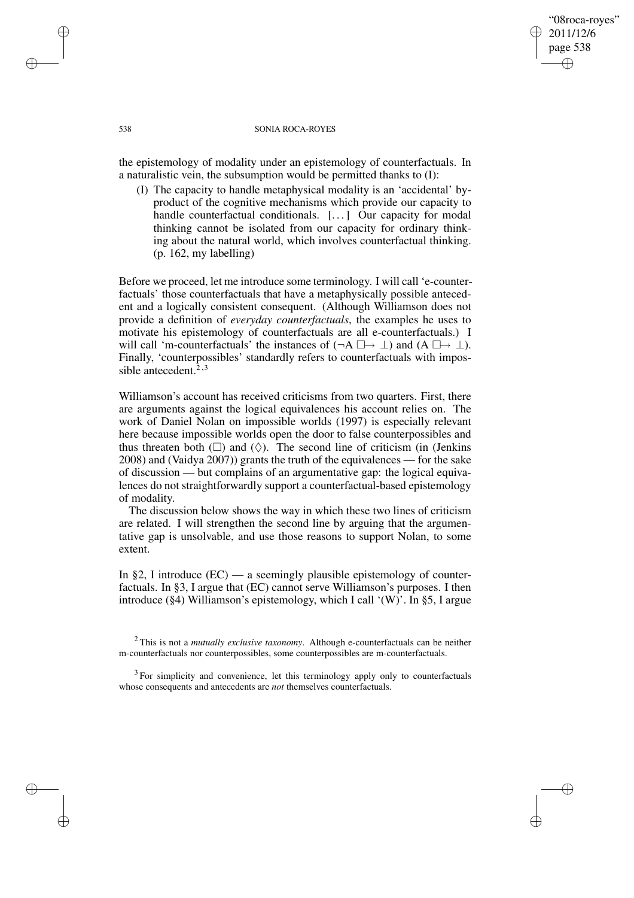### "08roca-royes" 2011/12/6 page 538 ✐ ✐

✐

✐

#### 538 SONIA ROCA-ROYES

the epistemology of modality under an epistemology of counterfactuals. In a naturalistic vein, the subsumption would be permitted thanks to (I):

(I) The capacity to handle metaphysical modality is an 'accidental' byproduct of the cognitive mechanisms which provide our capacity to handle counterfactual conditionals. [...] Our capacity for modal thinking cannot be isolated from our capacity for ordinary thinking about the natural world, which involves counterfactual thinking. (p. 162, my labelling)

Before we proceed, let me introduce some terminology. I will call 'e-counterfactuals' those counterfactuals that have a metaphysically possible antecedent and a logically consistent consequent. (Although Williamson does not provide a definition of *everyday counterfactuals*, the examples he uses to motivate his epistemology of counterfactuals are all e-counterfactuals.) I will call 'm-counterfactuals' the instances of  $(\neg A \Box \rightarrow \bot)$  and  $(A \Box \rightarrow \bot)$ . Finally, 'counterpossibles' standardly refers to counterfactuals with impossible antecedent. $2,3$ 

Williamson's account has received criticisms from two quarters. First, there are arguments against the logical equivalences his account relies on. The work of Daniel Nolan on impossible worlds (1997) is especially relevant here because impossible worlds open the door to false counterpossibles and thus threaten both  $(\Box)$  and  $(\Diamond)$ . The second line of criticism (in (Jenkins) 2008) and (Vaidya 2007)) grants the truth of the equivalences — for the sake of discussion — but complains of an argumentative gap: the logical equivalences do not straightforwardly support a counterfactual-based epistemology of modality.

The discussion below shows the way in which these two lines of criticism are related. I will strengthen the second line by arguing that the argumentative gap is unsolvable, and use those reasons to support Nolan, to some extent.

In §2, I introduce  $(EC)$  — a seemingly plausible epistemology of counterfactuals. In §3, I argue that (EC) cannot serve Williamson's purposes. I then introduce (§4) Williamson's epistemology, which I call '(W)'. In §5, I argue

✐

✐

✐

<sup>2</sup> This is not a *mutually exclusive taxonomy*. Although e-counterfactuals can be neither m-counterfactuals nor counterpossibles, some counterpossibles are m-counterfactuals.

<sup>&</sup>lt;sup>3</sup> For simplicity and convenience, let this terminology apply only to counterfactuals whose consequents and antecedents are *not* themselves counterfactuals.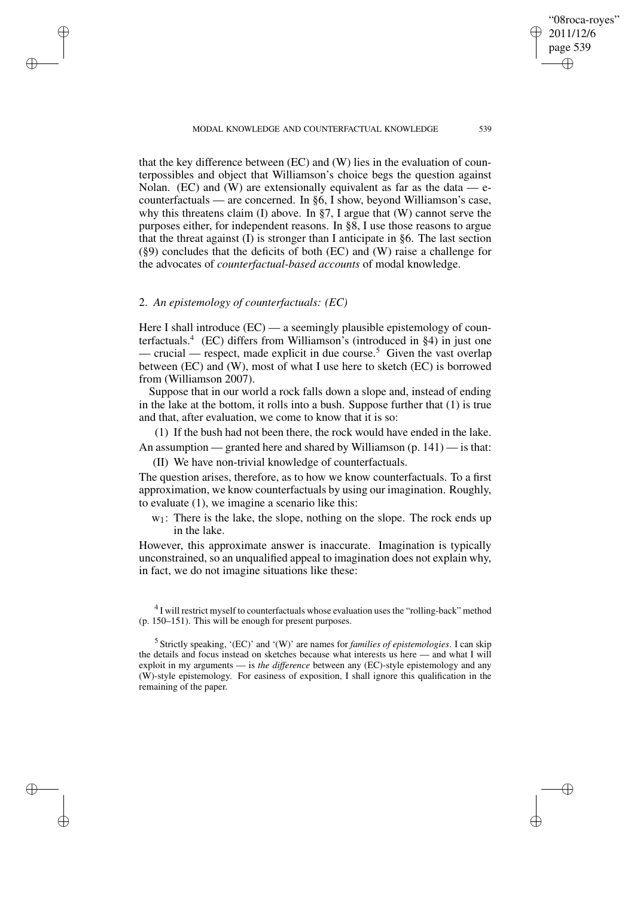MODAL KNOWLEDGE AND COUNTERFACTUAL KNOWLEDGE 539

"08roca-royes" 2011/12/6 page 539

✐

✐

✐

✐

that the key difference between (EC) and (W) lies in the evaluation of counterpossibles and object that Williamson's choice begs the question against Nolan. (EC) and (W) are extensionally equivalent as far as the data  $-$  ecounterfactuals — are concerned. In §6, I show, beyond Williamson's case, why this threatens claim (I) above. In §7, I argue that (W) cannot serve the purposes either, for independent reasons. In §8, I use those reasons to argue that the threat against (I) is stronger than I anticipate in §6. The last section (§9) concludes that the deficits of both (EC) and (W) raise a challenge for the advocates of *counterfactual-based accounts* of modal knowledge.

# 2. *An epistemology of counterfactuals: (EC)*

✐

✐

✐

✐

Here I shall introduce (EC) — a seemingly plausible epistemology of counterfactuals.<sup>4</sup> (EC) differs from Williamson's (introduced in §4) in just one — crucial — respect, made explicit in due course.<sup>5</sup> Given the vast overlap between (EC) and (W), most of what I use here to sketch (EC) is borrowed from (Williamson 2007).

Suppose that in our world a rock falls down a slope and, instead of ending in the lake at the bottom, it rolls into a bush. Suppose further that (1) is true and that, after evaluation, we come to know that it is so:

(1) If the bush had not been there, the rock would have ended in the lake. An assumption — granted here and shared by Williamson  $(p. 141)$  — is that:

(II) We have non-trivial knowledge of counterfactuals.

The question arises, therefore, as to how we know counterfactuals. To a first approximation, we know counterfactuals by using our imagination. Roughly, to evaluate (1), we imagine a scenario like this:

 $w_1$ : There is the lake, the slope, nothing on the slope. The rock ends up in the lake.

However, this approximate answer is inaccurate. Imagination is typically unconstrained, so an unqualified appeal to imagination does not explain why, in fact, we do not imagine situations like these:

<sup>4</sup> I will restrict myself to counterfactuals whose evaluation uses the "rolling-back" method (p. 150–151). This will be enough for present purposes.

5 Strictly speaking, '(EC)' and '(W)' are names for *families of epistemologies*. I can skip the details and focus instead on sketches because what interests us here — and what I will exploit in my arguments — is *the difference* between any (EC)-style epistemology and any (W)-style epistemology. For easiness of exposition, I shall ignore this qualification in the remaining of the paper.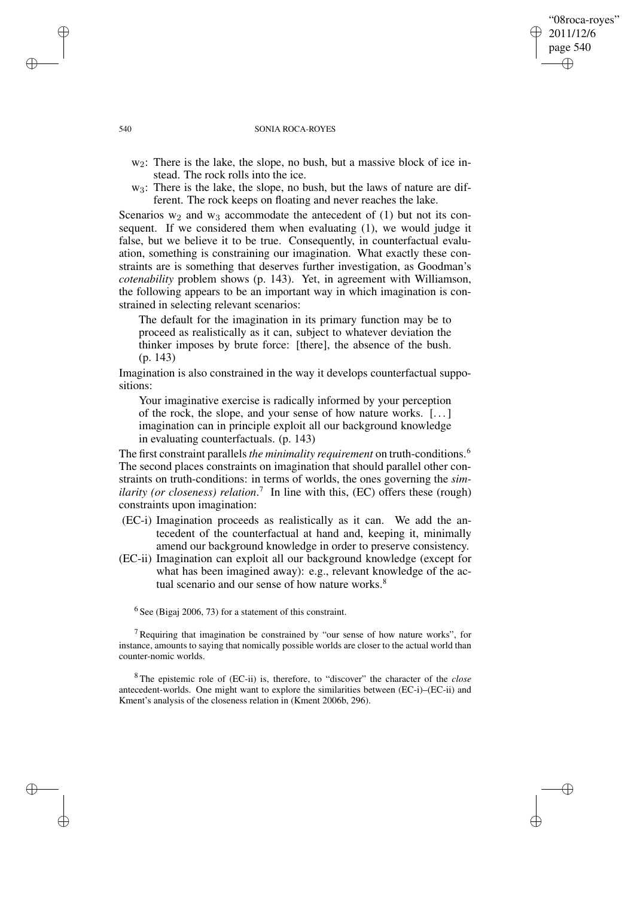## "08roca-royes" 2011/12/6 page 540 ✐ ✐

✐

✐

#### 540 SONIA ROCA-ROYES

- w<sub>2</sub>: There is the lake, the slope, no bush, but a massive block of ice instead. The rock rolls into the ice.
- w<sub>3</sub>: There is the lake, the slope, no bush, but the laws of nature are different. The rock keeps on floating and never reaches the lake.

Scenarios  $w_2$  and  $w_3$  accommodate the antecedent of (1) but not its consequent. If we considered them when evaluating (1), we would judge it false, but we believe it to be true. Consequently, in counterfactual evaluation, something is constraining our imagination. What exactly these constraints are is something that deserves further investigation, as Goodman's *cotenability* problem shows (p. 143). Yet, in agreement with Williamson, the following appears to be an important way in which imagination is constrained in selecting relevant scenarios:

The default for the imagination in its primary function may be to proceed as realistically as it can, subject to whatever deviation the thinker imposes by brute force: [there], the absence of the bush. (p. 143)

Imagination is also constrained in the way it develops counterfactual suppositions:

Your imaginative exercise is radically informed by your perception of the rock, the slope, and your sense of how nature works. [. . .] imagination can in principle exploit all our background knowledge in evaluating counterfactuals. (p. 143)

The first constraint parallels*the minimality requirement* on truth-conditions.<sup>6</sup> The second places constraints on imagination that should parallel other constraints on truth-conditions: in terms of worlds, the ones governing the *similarity (or closeness) relation*. 7 In line with this, (EC) offers these (rough) constraints upon imagination:

- (EC-i) Imagination proceeds as realistically as it can. We add the antecedent of the counterfactual at hand and, keeping it, minimally amend our background knowledge in order to preserve consistency.
- (EC-ii) Imagination can exploit all our background knowledge (except for what has been imagined away): e.g., relevant knowledge of the actual scenario and our sense of how nature works.<sup>8</sup>

 $6$  See (Bigaj 2006, 73) for a statement of this constraint.

<sup>7</sup> Requiring that imagination be constrained by "our sense of how nature works", for instance, amounts to saying that nomically possible worlds are closer to the actual world than counter-nomic worlds.

<sup>8</sup> The epistemic role of (EC-ii) is, therefore, to "discover" the character of the *close* antecedent-worlds. One might want to explore the similarities between (EC-i)–(EC-ii) and Kment's analysis of the closeness relation in (Kment 2006b, 296).

✐

✐

✐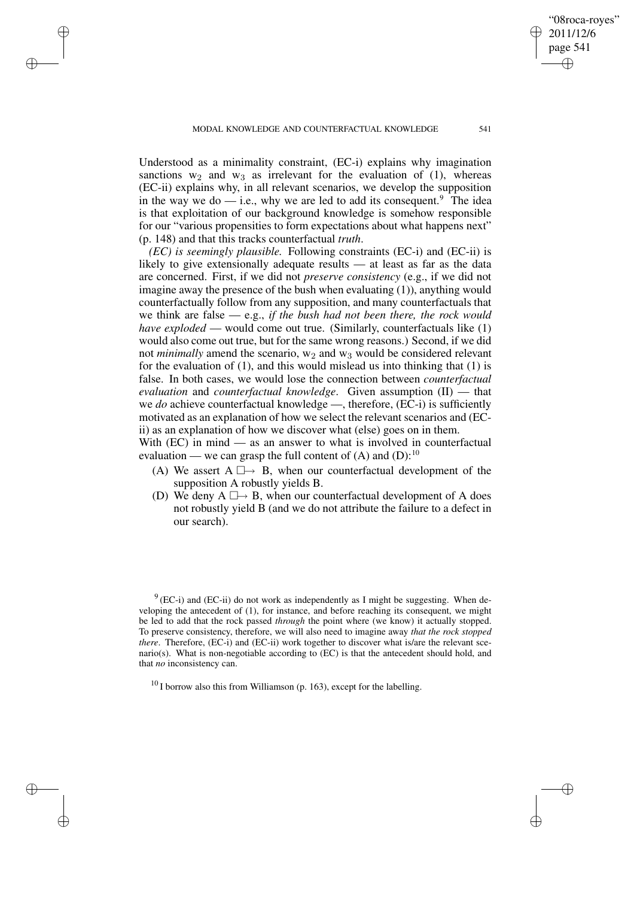✐

✐

✐

✐

Understood as a minimality constraint, (EC-i) explains why imagination sanctions  $w_2$  and  $w_3$  as irrelevant for the evaluation of (1), whereas (EC-ii) explains why, in all relevant scenarios, we develop the supposition in the way we do — i.e., why we are led to add its consequent.<sup>9</sup> The idea is that exploitation of our background knowledge is somehow responsible for our "various propensities to form expectations about what happens next"

(p. 148) and that this tracks counterfactual *truth*. *(EC) is seemingly plausible.* Following constraints (EC-i) and (EC-ii) is likely to give extensionally adequate results — at least as far as the data are concerned. First, if we did not *preserve consistency* (e.g., if we did not imagine away the presence of the bush when evaluating (1)), anything would counterfactually follow from any supposition, and many counterfactuals that we think are false — e.g., *if the bush had not been there, the rock would have exploded* — would come out true. (Similarly, counterfactuals like (1) would also come out true, but for the same wrong reasons.) Second, if we did not *minimally* amend the scenario,  $w_2$  and  $w_3$  would be considered relevant for the evaluation of (1), and this would mislead us into thinking that (1) is false. In both cases, we would lose the connection between *counterfactual evaluation* and *counterfactual knowledge*. Given assumption (II) — that we *do* achieve counterfactual knowledge —, therefore, (EC-i) is sufficiently motivated as an explanation of how we select the relevant scenarios and (ECii) as an explanation of how we discover what (else) goes on in them.

With (EC) in mind — as an answer to what is involved in counterfactual evaluation — we can grasp the full content of  $(A)$  and  $(D)$ :<sup>10</sup>

- (A) We assert  $A \Box \rightarrow B$ , when our counterfactual development of the supposition A robustly yields B.
- (D) We deny  $A \Box \rightarrow B$ , when our counterfactual development of A does not robustly yield B (and we do not attribute the failure to a defect in our search).

 $9$ (EC-i) and (EC-ii) do not work as independently as I might be suggesting. When developing the antecedent of (1), for instance, and before reaching its consequent, we might be led to add that the rock passed *through* the point where (we know) it actually stopped. To preserve consistency, therefore, we will also need to imagine away *that the rock stopped there*. Therefore, (EC-i) and (EC-ii) work together to discover what is/are the relevant scenario(s). What is non-negotiable according to (EC) is that the antecedent should hold, and that *no* inconsistency can.

 $10$  I borrow also this from Williamson (p. 163), except for the labelling.

"08roca-royes" 2011/12/6 page 541

✐

✐

✐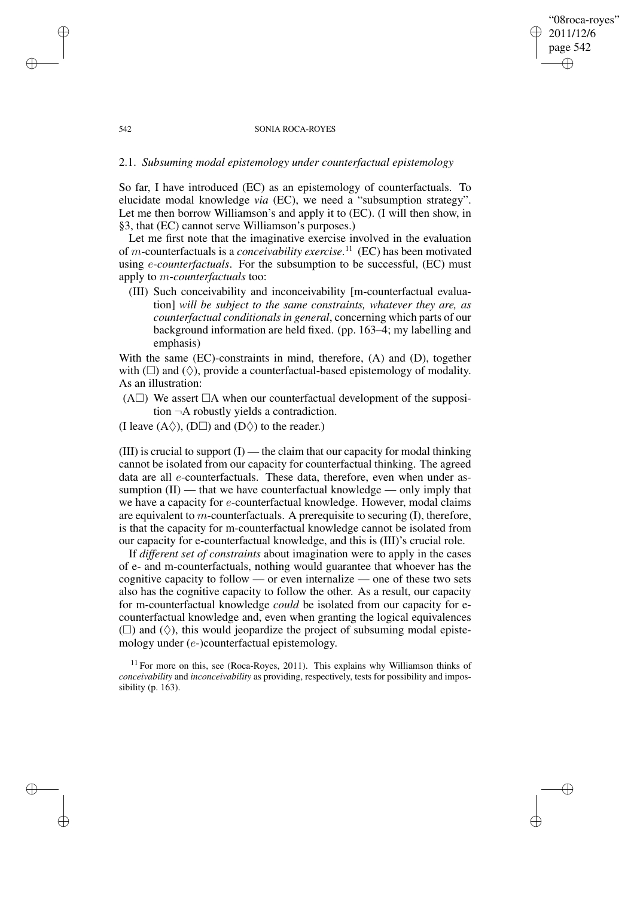### "08roca-royes" 2011/12/6 page 542 ✐ ✐

✐

✐

#### 542 SONIA ROCA-ROYES

# 2.1. *Subsuming modal epistemology under counterfactual epistemology*

So far, I have introduced (EC) as an epistemology of counterfactuals. To elucidate modal knowledge *via* (EC), we need a "subsumption strategy". Let me then borrow Williamson's and apply it to (EC). (I will then show, in §3, that (EC) cannot serve Williamson's purposes.)

Let me first note that the imaginative exercise involved in the evaluation of m-counterfactuals is a *conceivability exercise*. <sup>11</sup> (EC) has been motivated using e-*counterfactuals*. For the subsumption to be successful, (EC) must apply to m-*counterfactuals* too:

(III) Such conceivability and inconceivability [m-counterfactual evaluation] *will be subject to the same constraints, whatever they are, as counterfactual conditionalsin general*, concerning which parts of our background information are held fixed. (pp. 163–4; my labelling and emphasis)

With the same (EC)-constraints in mind, therefore, (A) and (D), together with  $(\Box)$  and  $(\Diamond)$ , provide a counterfactual-based epistemology of modality. As an illustration:

- (A $\square$ ) We assert  $\square$ A when our counterfactual development of the supposition ¬A robustly yields a contradiction.
- (I leave  $(A \Diamond)$ ,  $(D \Box)$ ) and  $(D \Diamond)$  to the reader.)

✐

✐

✐

✐

(III) is crucial to support  $(I)$  — the claim that our capacity for modal thinking cannot be isolated from our capacity for counterfactual thinking. The agreed data are all e-counterfactuals. These data, therefore, even when under assumption  $(II)$  — that we have counterfactual knowledge — only imply that we have a capacity for e-counterfactual knowledge. However, modal claims are equivalent to  $m$ -counterfactuals. A prerequisite to securing  $(I)$ , therefore, is that the capacity for m-counterfactual knowledge cannot be isolated from our capacity for e-counterfactual knowledge, and this is (III)'s crucial role.

If *different set of constraints* about imagination were to apply in the cases of e- and m-counterfactuals, nothing would guarantee that whoever has the cognitive capacity to follow — or even internalize — one of these two sets also has the cognitive capacity to follow the other. As a result, our capacity for m-counterfactual knowledge *could* be isolated from our capacity for ecounterfactual knowledge and, even when granting the logical equivalences  $(\Box)$  and  $(\Diamond)$ , this would jeopardize the project of subsuming modal epistemology under (e-)counterfactual epistemology.

 $11$  For more on this, see (Roca-Royes, 2011). This explains why Williamson thinks of *conceivability* and *inconceivability* as providing, respectively, tests for possibility and impossibility (p. 163).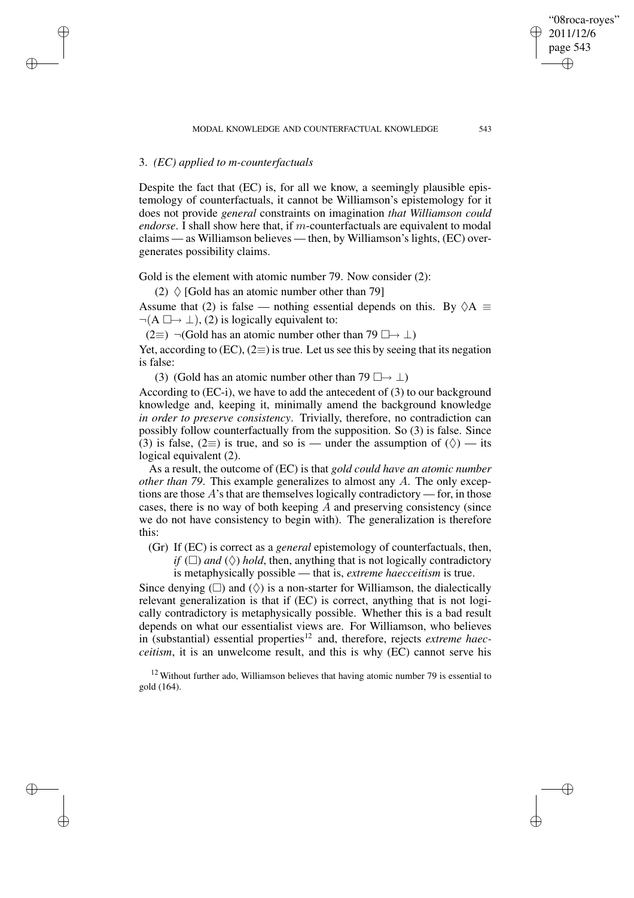# 3. *(EC) applied to m-counterfactuals*

✐

✐

✐

✐

Despite the fact that (EC) is, for all we know, a seemingly plausible epistemology of counterfactuals, it cannot be Williamson's epistemology for it does not provide *general* constraints on imagination *that Williamson could endorse*. I shall show here that, if m-counterfactuals are equivalent to modal claims — as Williamson believes — then, by Williamson's lights, (EC) overgenerates possibility claims.

Gold is the element with atomic number 79. Now consider (2):

(2)  $\Diamond$  [Gold has an atomic number other than 79]

Assume that (2) is false — nothing essential depends on this. By  $\Diamond A \equiv$  $\neg(A \Box \rightarrow \bot), (2)$  is logically equivalent to:

 $(2\equiv) \neg$  Gold has an atomic number other than 79  $\Box \rightarrow \bot$ )

Yet, according to (EC), (2≡) is true. Let us see this by seeing that its negation is false:

(3) (Gold has an atomic number other than 79  $\Box \rightarrow \bot$ )

According to (EC-i), we have to add the antecedent of (3) to our background knowledge and, keeping it, minimally amend the background knowledge *in order to preserve consistency*. Trivially, therefore, no contradiction can possibly follow counterfactually from the supposition. So (3) is false. Since (3) is false, (2≡) is true, and so is — under the assumption of  $(\Diamond)$  — its logical equivalent (2).

As a result, the outcome of (EC) is that *gold could have an atomic number other than 79*. This example generalizes to almost any A. The only exceptions are those A's that are themselves logically contradictory — for, in those cases, there is no way of both keeping  $A$  and preserving consistency (since we do not have consistency to begin with). The generalization is therefore this:

(Gr) If (EC) is correct as a *general* epistemology of counterfactuals, then, *if* ( $\Box$ ) *and* ( $\Diamond$ ) *hold*, then, anything that is not logically contradictory is metaphysically possible — that is, *extreme haecceitism* is true.

Since denying  $(\square)$  and  $(\Diamond)$  is a non-starter for Williamson, the dialectically relevant generalization is that if (EC) is correct, anything that is not logically contradictory is metaphysically possible. Whether this is a bad result depends on what our essentialist views are. For Williamson, who believes in (substantial) essential properties<sup>12</sup> and, therefore, rejects *extreme haecceitism*, it is an unwelcome result, and this is why (EC) cannot serve his

 $12$  Without further ado, Williamson believes that having atomic number 79 is essential to gold (164).

"08roca-royes" 2011/12/6 page 543

✐

✐

✐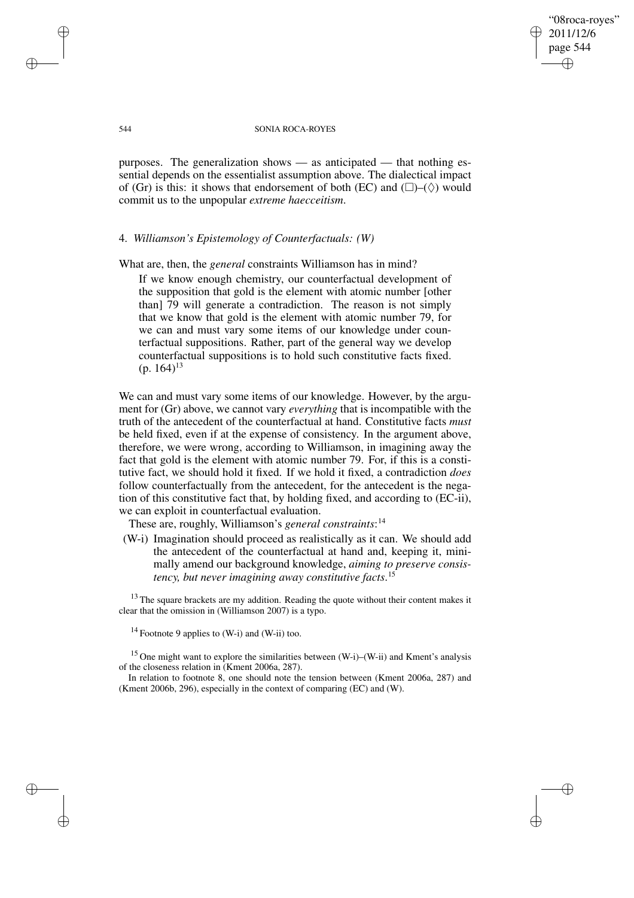"08roca-royes" 2011/12/6 page 544 ✐ ✐

✐

✐

#### 544 SONIA ROCA-ROYES

purposes. The generalization shows — as anticipated — that nothing essential depends on the essentialist assumption above. The dialectical impact of (Gr) is this: it shows that endorsement of both (EC) and  $(\Box)$ –( $\Diamond$ ) would commit us to the unpopular *extreme haecceitism*.

## 4. *Williamson's Epistemology of Counterfactuals: (W)*

What are, then, the *general* constraints Williamson has in mind?

If we know enough chemistry, our counterfactual development of the supposition that gold is the element with atomic number [other than] 79 will generate a contradiction. The reason is not simply that we know that gold is the element with atomic number 79, for we can and must vary some items of our knowledge under counterfactual suppositions. Rather, part of the general way we develop counterfactual suppositions is to hold such constitutive facts fixed.  $(p. 164)^{13}$ 

We can and must vary some items of our knowledge. However, by the argument for (Gr) above, we cannot vary *everything* that is incompatible with the truth of the antecedent of the counterfactual at hand. Constitutive facts *must* be held fixed, even if at the expense of consistency. In the argument above, therefore, we were wrong, according to Williamson, in imagining away the fact that gold is the element with atomic number 79. For, if this is a constitutive fact, we should hold it fixed. If we hold it fixed, a contradiction *does* follow counterfactually from the antecedent, for the antecedent is the negation of this constitutive fact that, by holding fixed, and according to (EC-ii), we can exploit in counterfactual evaluation.

These are, roughly, Williamson's *general constraints*: 14

(W-i) Imagination should proceed as realistically as it can. We should add the antecedent of the counterfactual at hand and, keeping it, minimally amend our background knowledge, *aiming to preserve consistency, but never imagining away constitutive facts*. 15

 $13$  The square brackets are my addition. Reading the quote without their content makes it clear that the omission in (Williamson 2007) is a typo.

<sup>14</sup> Footnote 9 applies to  $(W-i)$  and  $(W-i)$  too.

<sup>15</sup> One might want to explore the similarities between (W-i)–(W-ii) and Kment's analysis of the closeness relation in (Kment 2006a, 287).

In relation to footnote 8, one should note the tension between (Kment 2006a, 287) and (Kment 2006b, 296), especially in the context of comparing (EC) and (W).

✐

✐

✐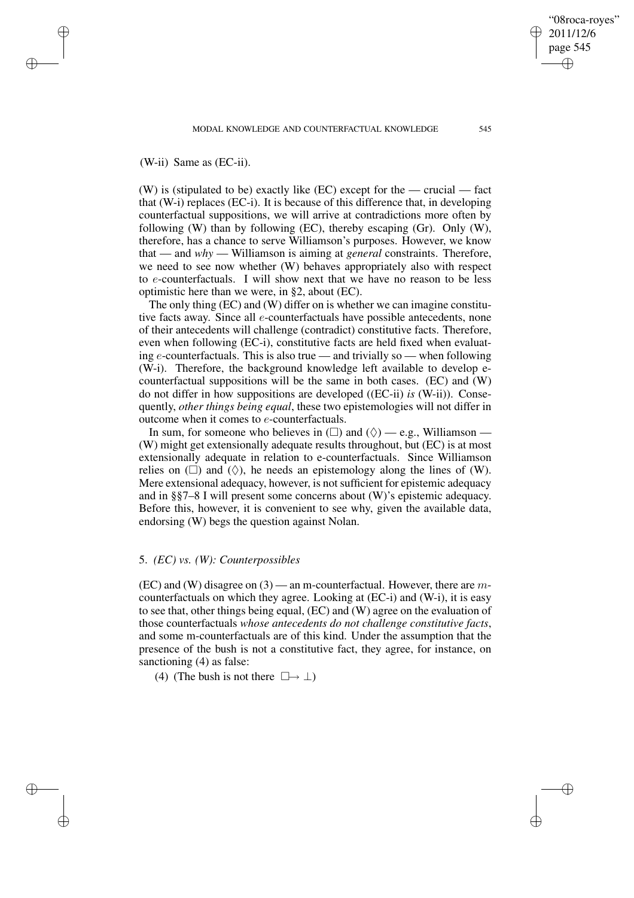# (W-ii) Same as (EC-ii).

✐

✐

✐

✐

(W) is (stipulated to be) exactly like (EC) except for the — crucial — fact that (W-i) replaces (EC-i). It is because of this difference that, in developing counterfactual suppositions, we will arrive at contradictions more often by following (W) than by following (EC), thereby escaping (Gr). Only (W), therefore, has a chance to serve Williamson's purposes. However, we know that — and *why* — Williamson is aiming at *general* constraints. Therefore, we need to see now whether (W) behaves appropriately also with respect to e-counterfactuals. I will show next that we have no reason to be less optimistic here than we were, in §2, about (EC).

The only thing (EC) and (W) differ on is whether we can imagine constitutive facts away. Since all e-counterfactuals have possible antecedents, none of their antecedents will challenge (contradict) constitutive facts. Therefore, even when following (EC-i), constitutive facts are held fixed when evaluating  $e$ -counterfactuals. This is also true — and trivially so — when following (W-i). Therefore, the background knowledge left available to develop ecounterfactual suppositions will be the same in both cases. (EC) and (W) do not differ in how suppositions are developed ((EC-ii) *is* (W-ii)). Consequently, *other things being equal*, these two epistemologies will not differ in outcome when it comes to e-counterfactuals.

In sum, for someone who believes in  $(\square)$  and  $(\Diamond)$  — e.g., Williamson — (W) might get extensionally adequate results throughout, but (EC) is at most extensionally adequate in relation to e-counterfactuals. Since Williamson relies on  $(\square)$  and  $(\Diamond)$ , he needs an epistemology along the lines of (W). Mere extensional adequacy, however, is not sufficient for epistemic adequacy and in §§7–8 I will present some concerns about (W)'s epistemic adequacy. Before this, however, it is convenient to see why, given the available data, endorsing (W) begs the question against Nolan.

# 5. *(EC) vs. (W): Counterpossibles*

 $(EC)$  and  $(W)$  disagree on  $(3)$  — an m-counterfactual. However, there are mcounterfactuals on which they agree. Looking at (EC-i) and (W-i), it is easy to see that, other things being equal, (EC) and (W) agree on the evaluation of those counterfactuals *whose antecedents do not challenge constitutive facts*, and some m-counterfactuals are of this kind. Under the assumption that the presence of the bush is not a constitutive fact, they agree, for instance, on sanctioning (4) as false:

(4) (The bush is not there  $\Box \rightarrow \bot$ )

"08roca-royes" 2011/12/6 page 545

✐

✐

✐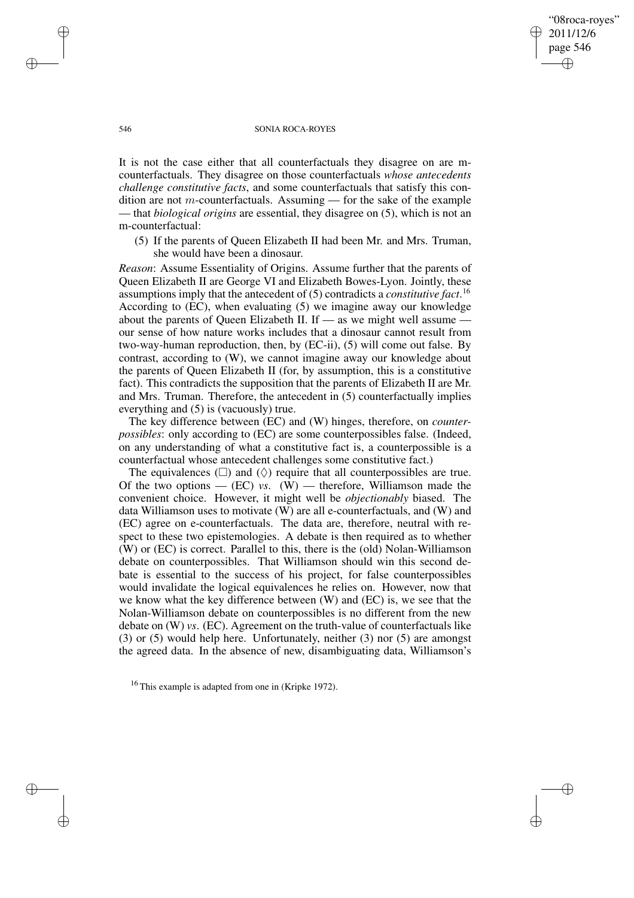"08roca-royes" 2011/12/6 page 546 ✐ ✐

✐

✐

#### 546 SONIA ROCA-ROYES

It is not the case either that all counterfactuals they disagree on are mcounterfactuals. They disagree on those counterfactuals *whose antecedents challenge constitutive facts*, and some counterfactuals that satisfy this condition are not m-counterfactuals. Assuming — for the sake of the example — that *biological origins* are essential, they disagree on (5), which is not an m-counterfactual:

(5) If the parents of Queen Elizabeth II had been Mr. and Mrs. Truman, she would have been a dinosaur.

*Reason*: Assume Essentiality of Origins. Assume further that the parents of Queen Elizabeth II are George VI and Elizabeth Bowes-Lyon. Jointly, these assumptions imply that the antecedent of (5) contradicts a *constitutive fact*. 16 According to (EC), when evaluating (5) we imagine away our knowledge about the parents of Queen Elizabeth II. If — as we might well assume our sense of how nature works includes that a dinosaur cannot result from two-way-human reproduction, then, by (EC-ii), (5) will come out false. By contrast, according to (W), we cannot imagine away our knowledge about the parents of Queen Elizabeth II (for, by assumption, this is a constitutive fact). This contradicts the supposition that the parents of Elizabeth II are Mr. and Mrs. Truman. Therefore, the antecedent in (5) counterfactually implies everything and (5) is (vacuously) true.

The key difference between (EC) and (W) hinges, therefore, on *counterpossibles*: only according to (EC) are some counterpossibles false. (Indeed, on any understanding of what a constitutive fact is, a counterpossible is a counterfactual whose antecedent challenges some constitutive fact.)

The equivalences  $(\square)$  and  $(\Diamond)$  require that all counterpossibles are true. Of the two options  $-$  (EC) *vs*. (W)  $-$  therefore, Williamson made the convenient choice. However, it might well be *objectionably* biased. The data Williamson uses to motivate (W) are all e-counterfactuals, and (W) and (EC) agree on e-counterfactuals. The data are, therefore, neutral with respect to these two epistemologies. A debate is then required as to whether (W) or (EC) is correct. Parallel to this, there is the (old) Nolan-Williamson debate on counterpossibles. That Williamson should win this second debate is essential to the success of his project, for false counterpossibles would invalidate the logical equivalences he relies on. However, now that we know what the key difference between (W) and (EC) is, we see that the Nolan-Williamson debate on counterpossibles is no different from the new debate on (W) *vs*. (EC). Agreement on the truth-value of counterfactuals like (3) or (5) would help here. Unfortunately, neither (3) nor (5) are amongst the agreed data. In the absence of new, disambiguating data, Williamson's

✐

✐

✐

<sup>16</sup> This example is adapted from one in (Kripke 1972).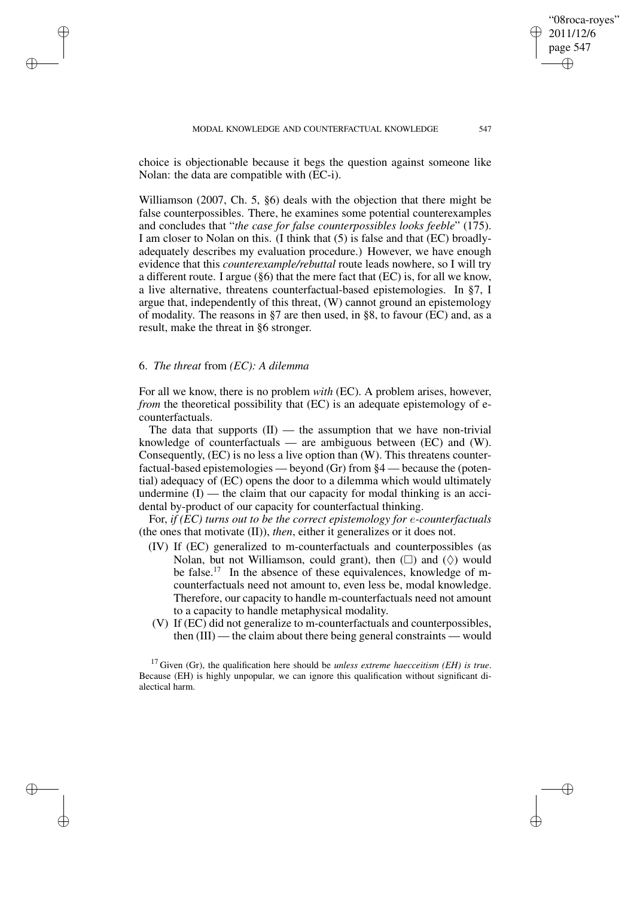choice is objectionable because it begs the question against someone like Nolan: the data are compatible with (EC-i).

Williamson (2007, Ch. 5, §6) deals with the objection that there might be false counterpossibles. There, he examines some potential counterexamples and concludes that "*the case for false counterpossibles looks feeble*" (175). I am closer to Nolan on this. (I think that (5) is false and that (EC) broadlyadequately describes my evaluation procedure.) However, we have enough evidence that this *counterexample/rebuttal* route leads nowhere, so I will try a different route. I argue (§6) that the mere fact that (EC) is, for all we know, a live alternative, threatens counterfactual-based epistemologies. In §7, I argue that, independently of this threat, (W) cannot ground an epistemology of modality. The reasons in §7 are then used, in §8, to favour (EC) and, as a result, make the threat in §6 stronger.

# 6. *The threat* from *(EC): A dilemma*

✐

✐

✐

✐

For all we know, there is no problem *with* (EC). A problem arises, however, *from* the theoretical possibility that (EC) is an adequate epistemology of ecounterfactuals.

The data that supports  $(II)$  — the assumption that we have non-trivial knowledge of counterfactuals — are ambiguous between (EC) and (W). Consequently, (EC) is no less a live option than (W). This threatens counterfactual-based epistemologies — beyond (Gr) from §4 — because the (potential) adequacy of (EC) opens the door to a dilemma which would ultimately undermine  $(I)$  — the claim that our capacity for modal thinking is an accidental by-product of our capacity for counterfactual thinking.

For, *if (EC) turns out to be the correct epistemology for* e*-counterfactuals* (the ones that motivate (II)), *then*, either it generalizes or it does not.

- (IV) If (EC) generalized to m-counterfactuals and counterpossibles (as Nolan, but not Williamson, could grant), then  $(\Box)$  and  $(\Diamond)$  would be false.<sup>17</sup> In the absence of these equivalences, knowledge of mcounterfactuals need not amount to, even less be, modal knowledge. Therefore, our capacity to handle m-counterfactuals need not amount to a capacity to handle metaphysical modality.
- (V) If (EC) did not generalize to m-counterfactuals and counterpossibles, then (III) — the claim about there being general constraints — would

<sup>17</sup> Given (Gr), the qualification here should be *unless extreme haecceitism (EH) is true*. Because (EH) is highly unpopular, we can ignore this qualification without significant dialectical harm.

"08roca-royes" 2011/12/6 page 547

✐

✐

✐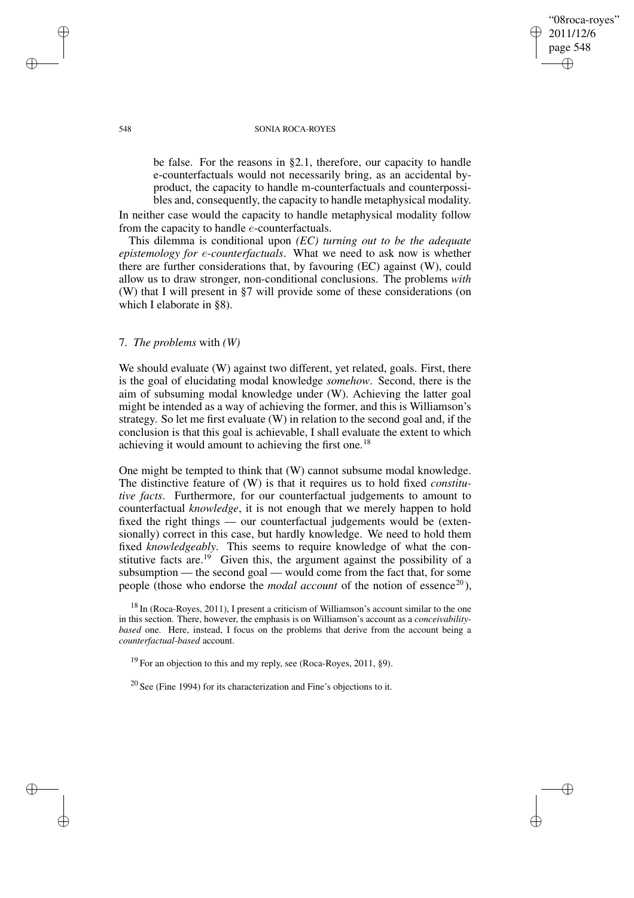### "08roca-royes" 2011/12/6 page 548 ✐ ✐

✐

✐

#### 548 SONIA ROCA-ROYES

be false. For the reasons in §2.1, therefore, our capacity to handle e-counterfactuals would not necessarily bring, as an accidental byproduct, the capacity to handle m-counterfactuals and counterpossibles and, consequently, the capacity to handle metaphysical modality.

In neither case would the capacity to handle metaphysical modality follow from the capacity to handle e-counterfactuals.

This dilemma is conditional upon *(EC) turning out to be the adequate epistemology for* e*-counterfactuals*. What we need to ask now is whether there are further considerations that, by favouring (EC) against (W), could allow us to draw stronger, non-conditional conclusions. The problems *with* (W) that I will present in §7 will provide some of these considerations (on which I elaborate in §8).

# 7. *The problems* with *(W)*

We should evaluate (W) against two different, yet related, goals. First, there is the goal of elucidating modal knowledge *somehow*. Second, there is the aim of subsuming modal knowledge under (W). Achieving the latter goal might be intended as a way of achieving the former, and this is Williamson's strategy. So let me first evaluate (W) in relation to the second goal and, if the conclusion is that this goal is achievable, I shall evaluate the extent to which achieving it would amount to achieving the first one.<sup>18</sup>

One might be tempted to think that (W) cannot subsume modal knowledge. The distinctive feature of (W) is that it requires us to hold fixed *constitutive facts*. Furthermore, for our counterfactual judgements to amount to counterfactual *knowledge*, it is not enough that we merely happen to hold fixed the right things — our counterfactual judgements would be (extensionally) correct in this case, but hardly knowledge. We need to hold them fixed *knowledgeably*. This seems to require knowledge of what the constitutive facts are.<sup>19</sup> Given this, the argument against the possibility of a subsumption — the second goal — would come from the fact that, for some people (those who endorse the *modal account* of the notion of essence<sup>20</sup>),

 $18$  In (Roca-Royes, 2011), I present a criticism of Williamson's account similar to the one in this section. There, however, the emphasis is on Williamson's account as a *conceivabilitybased* one. Here, instead, I focus on the problems that derive from the account being a *counterfactual-based* account.

 $19$  For an objection to this and my reply, see (Roca-Royes, 2011, §9).

 $20$  See (Fine 1994) for its characterization and Fine's objections to it.

✐

✐

✐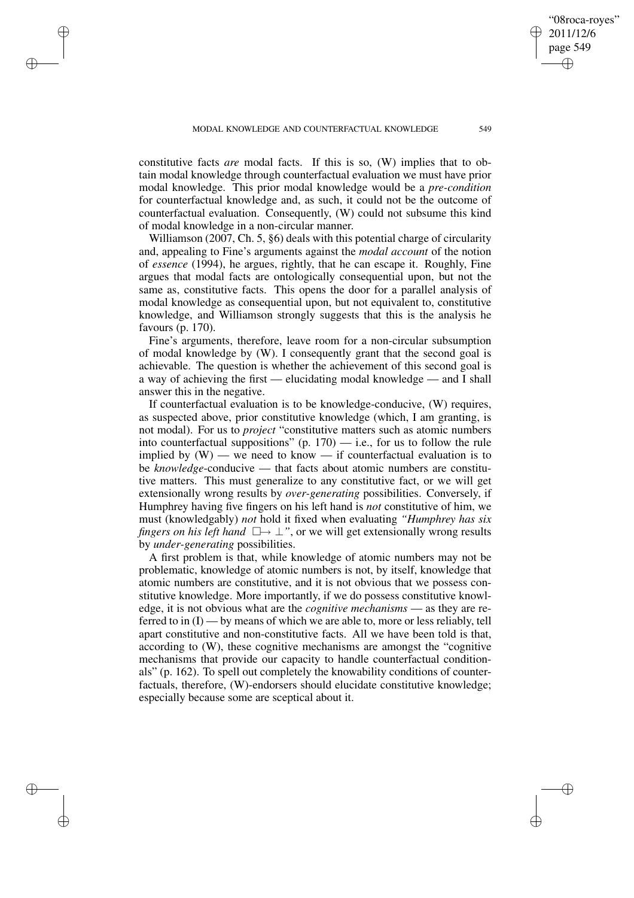✐

✐

✐

✐

constitutive facts *are* modal facts. If this is so, (W) implies that to obtain modal knowledge through counterfactual evaluation we must have prior modal knowledge. This prior modal knowledge would be a *pre-condition* for counterfactual knowledge and, as such, it could not be the outcome of counterfactual evaluation. Consequently, (W) could not subsume this kind of modal knowledge in a non-circular manner.

Williamson (2007, Ch. 5, §6) deals with this potential charge of circularity and, appealing to Fine's arguments against the *modal account* of the notion of *essence* (1994), he argues, rightly, that he can escape it. Roughly, Fine argues that modal facts are ontologically consequential upon, but not the same as, constitutive facts. This opens the door for a parallel analysis of modal knowledge as consequential upon, but not equivalent to, constitutive knowledge, and Williamson strongly suggests that this is the analysis he favours (p. 170).

Fine's arguments, therefore, leave room for a non-circular subsumption of modal knowledge by (W). I consequently grant that the second goal is achievable. The question is whether the achievement of this second goal is a way of achieving the first — elucidating modal knowledge — and I shall answer this in the negative.

If counterfactual evaluation is to be knowledge-conducive, (W) requires, as suspected above, prior constitutive knowledge (which, I am granting, is not modal). For us to *project* "constitutive matters such as atomic numbers into counterfactual suppositions"  $(p. 170) - i.e.,$  for us to follow the rule implied by (W) — we need to know — if counterfactual evaluation is to be *knowledge*-conducive — that facts about atomic numbers are constitutive matters. This must generalize to any constitutive fact, or we will get extensionally wrong results by *over-generating* possibilities. Conversely, if Humphrey having five fingers on his left hand is *not* constitutive of him, we must (knowledgably) *not* hold it fixed when evaluating *"Humphrey has six fingers on his left hand*  $\square \rightarrow \bot$ ", or we will get extensionally wrong results by *under-generating* possibilities.

A first problem is that, while knowledge of atomic numbers may not be problematic, knowledge of atomic numbers is not, by itself, knowledge that atomic numbers are constitutive, and it is not obvious that we possess constitutive knowledge. More importantly, if we do possess constitutive knowledge, it is not obvious what are the *cognitive mechanisms* — as they are referred to in (I) — by means of which we are able to, more or less reliably, tell apart constitutive and non-constitutive facts. All we have been told is that, according to (W), these cognitive mechanisms are amongst the "cognitive mechanisms that provide our capacity to handle counterfactual conditionals" (p. 162). To spell out completely the knowability conditions of counterfactuals, therefore, (W)-endorsers should elucidate constitutive knowledge; especially because some are sceptical about it.

"08roca-royes" 2011/12/6 page 549

✐

✐

✐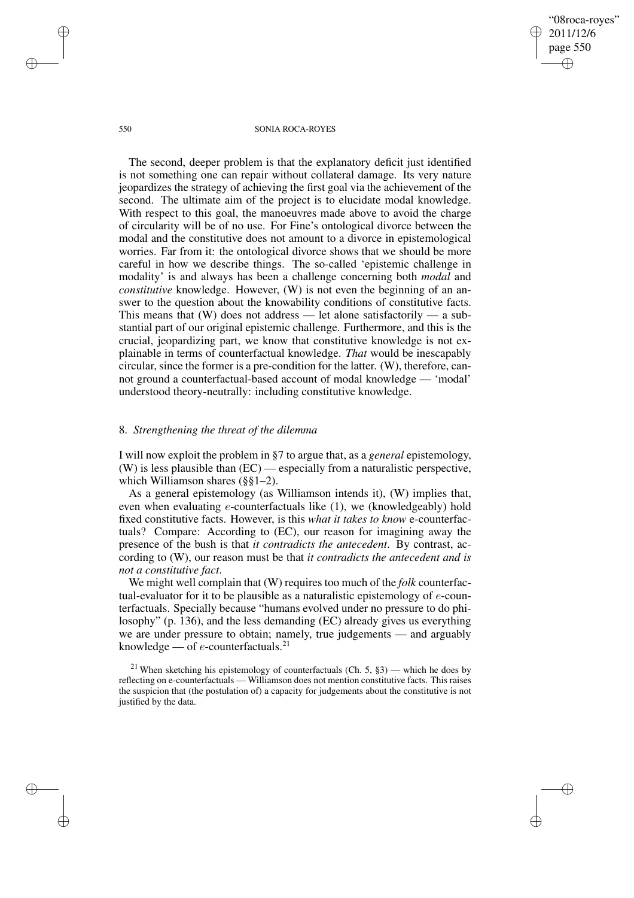"08roca-royes" 2011/12/6 page 550 ✐ ✐

✐

✐

#### 550 SONIA ROCA-ROYES

The second, deeper problem is that the explanatory deficit just identified is not something one can repair without collateral damage. Its very nature jeopardizes the strategy of achieving the first goal via the achievement of the second. The ultimate aim of the project is to elucidate modal knowledge. With respect to this goal, the manoeuvres made above to avoid the charge of circularity will be of no use. For Fine's ontological divorce between the modal and the constitutive does not amount to a divorce in epistemological worries. Far from it: the ontological divorce shows that we should be more careful in how we describe things. The so-called 'epistemic challenge in modality' is and always has been a challenge concerning both *modal* and *constitutive* knowledge. However, (W) is not even the beginning of an answer to the question about the knowability conditions of constitutive facts. This means that  $(W)$  does not address — let alone satisfactorily — a substantial part of our original epistemic challenge. Furthermore, and this is the crucial, jeopardizing part, we know that constitutive knowledge is not explainable in terms of counterfactual knowledge. *That* would be inescapably circular, since the former is a pre-condition for the latter. (W), therefore, cannot ground a counterfactual-based account of modal knowledge — 'modal' understood theory-neutrally: including constitutive knowledge.

### 8. *Strengthening the threat of the dilemma*

I will now exploit the problem in §7 to argue that, as a *general* epistemology, (W) is less plausible than (EC) — especially from a naturalistic perspective, which Williamson shares (§§1–2).

As a general epistemology (as Williamson intends it), (W) implies that, even when evaluating e-counterfactuals like (1), we (knowledgeably) hold fixed constitutive facts. However, is this *what it takes to know* e-counterfactuals? Compare: According to (EC), our reason for imagining away the presence of the bush is that *it contradicts the antecedent*. By contrast, according to (W), our reason must be that *it contradicts the antecedent and is not a constitutive fact*.

We might well complain that (W) requires too much of the *folk* counterfactual-evaluator for it to be plausible as a naturalistic epistemology of e-counterfactuals. Specially because "humans evolved under no pressure to do philosophy" (p. 136), and the less demanding (EC) already gives us everything we are under pressure to obtain; namely, true judgements — and arguably knowledge — of  $e$ -counterfactuals.<sup>21</sup>

✐

✐

✐

<sup>&</sup>lt;sup>21</sup> When sketching his epistemology of counterfactuals (Ch. 5, §3) — which he does by reflecting on e-counterfactuals — Williamson does not mention constitutive facts. This raises the suspicion that (the postulation of) a capacity for judgements about the constitutive is not justified by the data.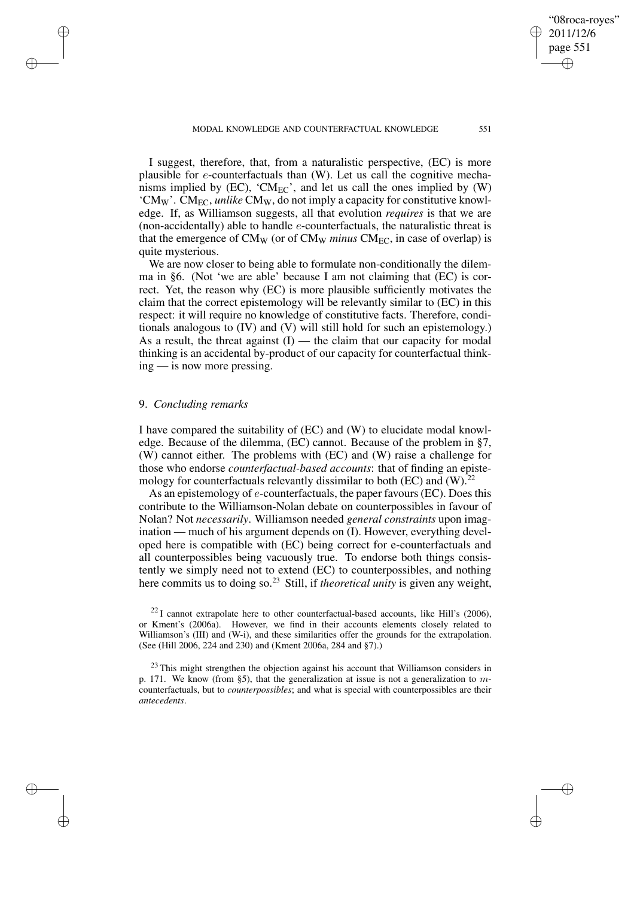MODAL KNOWLEDGE AND COUNTERFACTUAL KNOWLEDGE 551

✐

✐

"08roca-royes"

I suggest, therefore, that, from a naturalistic perspective, (EC) is more plausible for  $e$ -counterfactuals than (W). Let us call the cognitive mechanisms implied by  $(EC)$ , 'CM<sub>EC</sub>', and let us call the ones implied by  $(W)$ 'CMW'. CMEC, *unlike* CMW, do not imply a capacity for constitutive knowledge. If, as Williamson suggests, all that evolution *requires* is that we are (non-accidentally) able to handle  $e$ -counterfactuals, the naturalistic threat is that the emergence of  $CM_W$  (or of  $CM_W$  *minus*  $CM_{EC}$ , in case of overlap) is quite mysterious.

We are now closer to being able to formulate non-conditionally the dilemma in §6. (Not 'we are able' because I am not claiming that  $(EC)$  is correct. Yet, the reason why (EC) is more plausible sufficiently motivates the claim that the correct epistemology will be relevantly similar to (EC) in this respect: it will require no knowledge of constitutive facts. Therefore, conditionals analogous to (IV) and (V) will still hold for such an epistemology.) As a result, the threat against  $(I)$  — the claim that our capacity for modal thinking is an accidental by-product of our capacity for counterfactual thinking — is now more pressing.

## 9. *Concluding remarks*

✐

✐

✐

✐

I have compared the suitability of (EC) and (W) to elucidate modal knowledge. Because of the dilemma, (EC) cannot. Because of the problem in §7, (W) cannot either. The problems with (EC) and (W) raise a challenge for those who endorse *counterfactual-based accounts*: that of finding an epistemology for counterfactuals relevantly dissimilar to both (EC) and  $(W)$ .<sup>22</sup>

As an epistemology of e-counterfactuals, the paper favours (EC). Does this contribute to the Williamson-Nolan debate on counterpossibles in favour of Nolan? Not *necessarily*. Williamson needed *general constraints* upon imagination — much of his argument depends on (I). However, everything developed here is compatible with (EC) being correct for e-counterfactuals and all counterpossibles being vacuously true. To endorse both things consistently we simply need not to extend (EC) to counterpossibles, and nothing here commits us to doing so.<sup>23</sup> Still, if *theoretical unity* is given any weight,

 $^{22}$ I cannot extrapolate here to other counterfactual-based accounts, like Hill's (2006), or Kment's (2006a). However, we find in their accounts elements closely related to Williamson's (III) and (W-i), and these similarities offer the grounds for the extrapolation. (See (Hill 2006, 224 and 230) and (Kment 2006a, 284 and §7).)

 $23$  This might strengthen the objection against his account that Williamson considers in p. 171. We know (from §5), that the generalization at issue is not a generalization to  $m$ counterfactuals, but to *counterpossibles*; and what is special with counterpossibles are their *antecedents*.